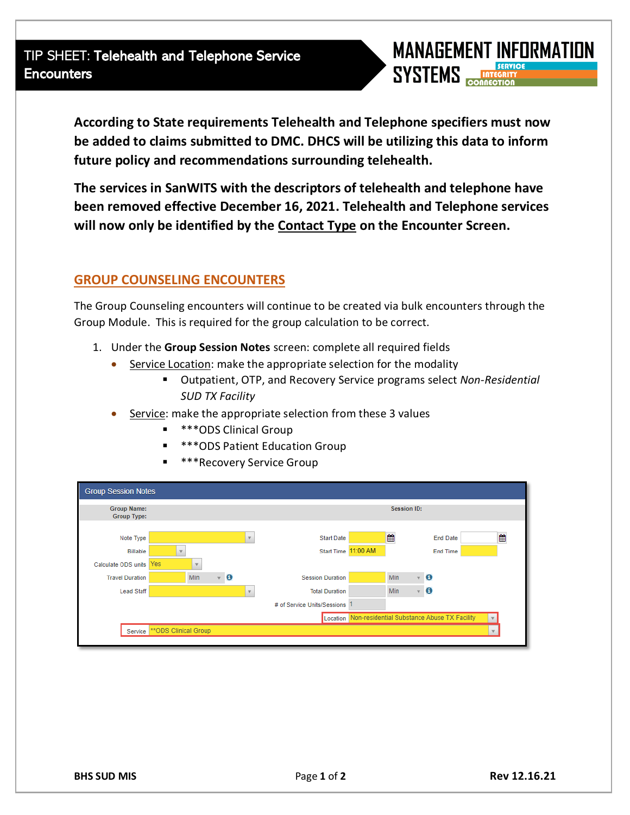

**According to State requirements Telehealth and Telephone specifiers must now be added to claims submitted to DMC. DHCS will be utilizing this data to inform future policy and recommendations surrounding telehealth.**

**The services in SanWITS with the descriptors of telehealth and telephone have been removed effective December 16, 2021. Telehealth and Telephone services will now only be identified by the Contact Type on the Encounter Screen.** 

## **GROUP COUNSELING ENCOUNTERS**

The Group Counseling encounters will continue to be created via bulk encounters through the Group Module. This is required for the group calculation to be correct.

- 1. Under the **Group Session Notes** screen: complete all required fields
	- Service Location: make the appropriate selection for the modality
		- Outpatient, OTP, and Recovery Service programs select *Non-Residential SUD TX Facility*
	- Service: make the appropriate selection from these 3 values
		- **\*\*\*ODS Clinical Group**
		- **\*\*\*ODS Patient Education Group**
		- **\*\*\*Recovery Service Group**

| <b>Group Session Notes</b>               |                               |                           |                          |                             |                                                      |                     |                      |  |  |  |  |
|------------------------------------------|-------------------------------|---------------------------|--------------------------|-----------------------------|------------------------------------------------------|---------------------|----------------------|--|--|--|--|
| <b>Group Name:</b><br><b>Group Type:</b> |                               |                           |                          |                             |                                                      | Session ID:         |                      |  |  |  |  |
| Note Type                                |                               |                           | $\overline{\mathbf{v}}$  | <b>Start Date</b>           |                                                      | ₩                   | ₩<br><b>End Date</b> |  |  |  |  |
| <b>Billable</b>                          |                               |                           |                          | <b>Start Time</b>           | 11:00 AM                                             |                     | <b>End Time</b>      |  |  |  |  |
| Calculate ODS units                      | Yes                           |                           |                          |                             |                                                      |                     |                      |  |  |  |  |
| <b>Travel Duration</b>                   | <b>Min</b>                    | $\bullet$<br>$\mathbf{v}$ |                          | <b>Session Duration</b>     |                                                      | Min<br>$\mathbf{v}$ | $\bullet$            |  |  |  |  |
| <b>Lead Staff</b>                        |                               |                           | $\overline{\phantom{a}}$ | <b>Total Duration</b>       |                                                      | Min                 | $\mathbf{v}$ 0       |  |  |  |  |
|                                          |                               |                           |                          | # of Service Units/Sessions |                                                      |                     |                      |  |  |  |  |
|                                          |                               |                           |                          |                             | Location Non-residential Substance Abuse TX Facility |                     |                      |  |  |  |  |
|                                          | Service ** ODS Clinical Group |                           |                          |                             |                                                      |                     |                      |  |  |  |  |
|                                          |                               |                           |                          |                             |                                                      |                     |                      |  |  |  |  |